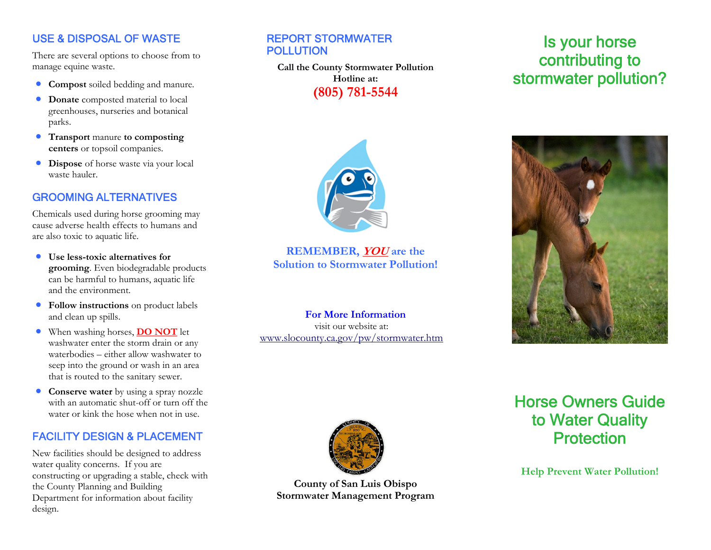### USE & DISPOSAL OF WASTE

There are several options to choose from to manage equine waste.

- **Compost** soiled bedding and manure.
- • **Donate** composted material to local greenhouses, nurseries and botanical parks.
- **Transport** manure **to composting centers** or topsoil companies.
- $\bullet$  **Dispose** of horse waste via your local waste hauler.

#### GROOMING ALTERNATIVES

Chemicals used during horse grooming may cause adverse health effects to humans and are also toxic to aquatic life.

- $\bullet$  **Use less-toxic alternatives for grooming**. Even biodegradable products can be harmful to humans, aquatic life and the environment.
- $\bullet$  **Follow instructions** on product labels and clean up spills.
- $\bullet$  When washing horses, **DO NOT** let washwater enter the storm drain or any waterbodies – either allow washwater to seep into the ground or wash in an area that is routed to the sanitary sewer.
- $\bullet$  **Conserve water** by using a spray nozzle with an automatic shut-off or turn off the water or kink the hose when not in use.

### FACILITY DESIGN & PLACEMENT

New facilities should be designed to address water quality concerns. If you are constructing or upgrading a stable, check with the County Planning and Building Department for information about facility design.

#### REPORT STORMWATER POLLUTION

**Call the County Stormwater Pollution Hotline at: (805) 781-5544** 



**REMEMBER, YOU are the Solution to Stormwater Pollution!** 

**For More Information** visit our website at: [www.slocounty.ca.gov/pw/stormwater.htm](http://www.slocounty.ca.gov/pw/stormwater.htm)

# Is your horse contributing to stormwater pollution?





**County of San Luis Obispo Stormwater Management Program** 

# Horse Owners Guideto Water Quality **Protection**

**Help Prevent Water Pollution!**